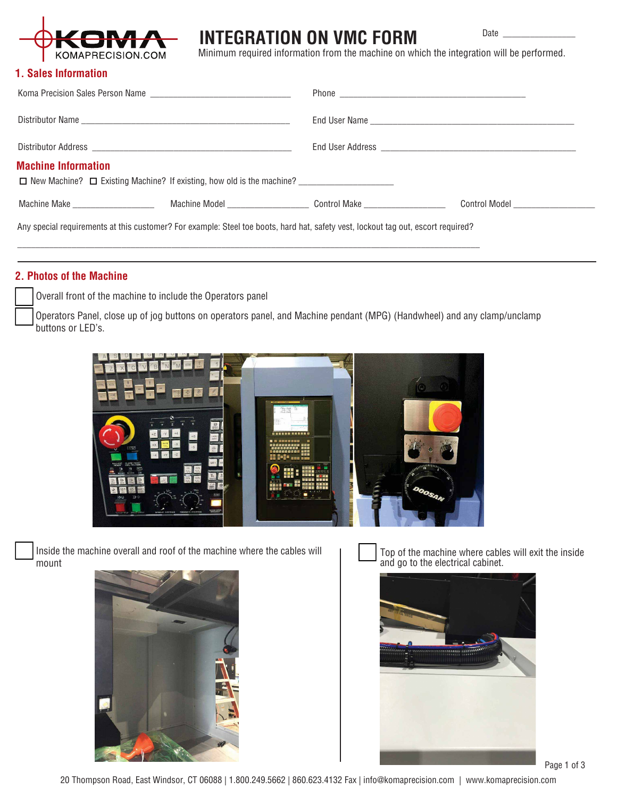

## **INTEGRATION ON VMC FORM**

Date

Minimum required information from the machine on which the integration will be performed.

### **1. Sales Information**

| Koma Precision Sales Person Name                                                                                                  |  |                                                                                                                                                                                                                                |                                 |
|-----------------------------------------------------------------------------------------------------------------------------------|--|--------------------------------------------------------------------------------------------------------------------------------------------------------------------------------------------------------------------------------|---------------------------------|
|                                                                                                                                   |  | End User Name Lawrence and Contract and Contract of the Contract of the Contract of the Contract of the Contract of the Contract of the Contract of the Contract of the Contract of the Contract of the Contract of the Contra |                                 |
|                                                                                                                                   |  |                                                                                                                                                                                                                                |                                 |
| <b>Machine Information</b><br>□ New Machine? □ Existing Machine? If existing, how old is the machine?                             |  |                                                                                                                                                                                                                                |                                 |
| Machine Make <b>Machine Make</b>                                                                                                  |  | Machine Model <b>Control Make</b>                                                                                                                                                                                              | Control Model _________________ |
| Any special requirements at this customer? For example: Steel toe boots, hard hat, safety vest, lockout tag out, escort required? |  |                                                                                                                                                                                                                                |                                 |

### **2. Photos of the Machine**

Overall front of the machine to include the Operators panel

Operators Panel, close up of jog buttons on operators panel, and Machine pendant (MPG) (Handwheel) and any clamp/unclamp buttons or LED's.

\_\_\_\_\_\_\_\_\_\_\_\_\_\_\_\_\_\_\_\_\_\_\_\_\_\_\_\_\_\_\_\_\_\_\_\_\_\_\_\_\_\_\_\_\_\_\_\_\_\_\_\_\_\_\_\_\_\_\_\_\_\_\_\_\_\_\_\_\_\_\_\_\_\_\_\_\_\_\_\_\_\_\_\_\_\_\_\_\_\_\_\_\_\_\_\_\_\_\_\_\_\_



Inside the machine overall and roof of the machine where the cables will mount



Top of the machine where cables will exit the inside and go to the electrical cabinet.



Page 1 of 3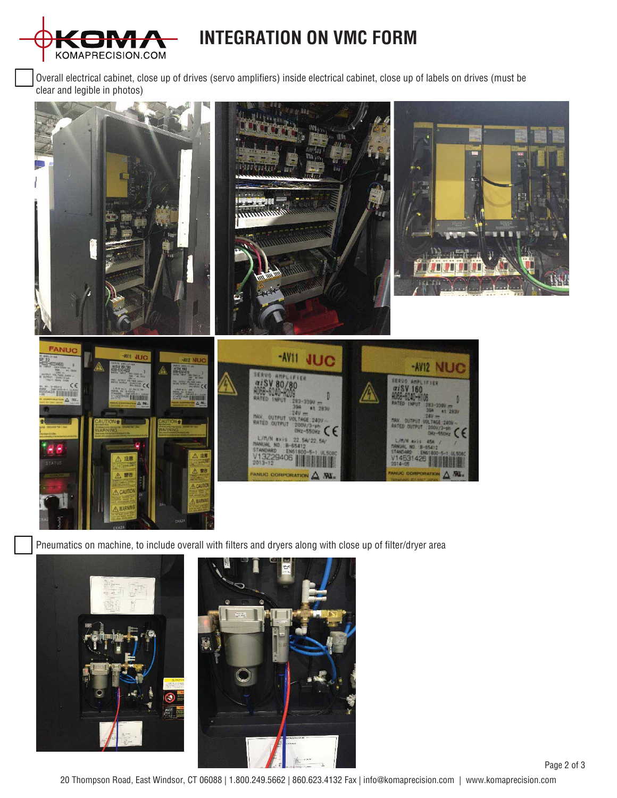

# **INTEGRATION ON VMC FORM**

Overall electrical cabinet, close up of drives (servo amplifiers) inside electrical cabinet, close up of labels on drives (must be clear and legible in photos)



Pneumatics on machine, to include overall with filters and dryers along with close up of filter/dryer area





20 Thompson Road, East Windsor, CT 06088 | 1.800.249.5662 | 860.623.4132 Fax | info@komaprecision.com | www.komaprecision.com